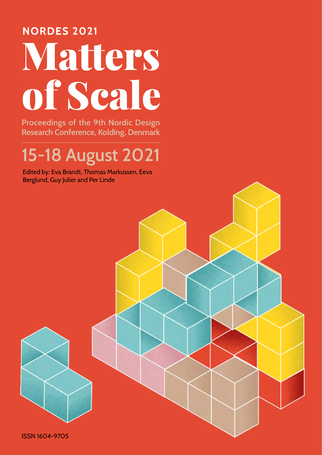# **NORDES 2021** Matters of Scale

Proceedings of the 9th Nordic Design Research Conference, Kolding, Denmark

# 15-18 August 2021

Edited by: Eva Brandt, Thomas Markussen, Eeva Berglund, Guy Julier and Per Linde

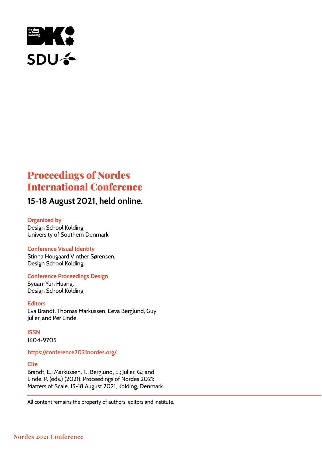

## Proceedings of Nordes International Conference

## 15-18 August 2021, held online.

#### Organized by

Design School Kolding University of Southern Denmark

#### Conference Visual Identity

Stinna Hougaard Vinther Sørensen, Design School Kolding

#### Conference Proceedings Design

Syuan-Yun Huang, Design School Kolding

**Editors** Eva Brandt, Thomas Markussen, Eeva Berglund, Guy Julier, and Per Linde

**ISSN** 

1604-9705

#### https://conference2021nordes.org/

#### **Cite**

Brandt, E.; Markussen, T., Berglund, E.; Julier, G.; and Linde, P. (eds.) (2021). Proceedings of Nordes 2021: Matters of Scale. 15-18 August 2021, Kolding, Denmark.

All content remains the property of authors, editors and institute.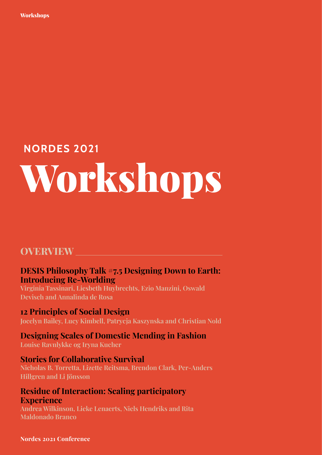# **NORDES 2021** Workshops

## **OVERVIEW**

### **DESIS Philosophy Talk #7.5 Designing Down to Earth: Introducing Re-Worlding**

**Virginia Tassinari, Liesbeth Huybrechts, Ezio Manzini, Oswald Devisch and Annalinda de Rosa**

### **12 Principles of Social Design**

**Jocelyn Bailey, Lucy Kimbell, Patrycja Kaszynska and Christian Nold**

## **Designing Scales of Domestic Mending in Fashion**

**Louise Ravnlykke og Iryna Kucher**

### **Stories for Collaborative Survival**

**Nicholas B. Torretta, Lizette Reitsma, Brendon Clark, Per-Anders Hillgren and Li Jönsson**

### **Residue of Interaction: Scaling participatory Experience**

**Andrea Wilkinson, Lieke Lenaerts, Niels Hendriks and Rita Maldonado Branco**

#### **Nordes 2021 Conference**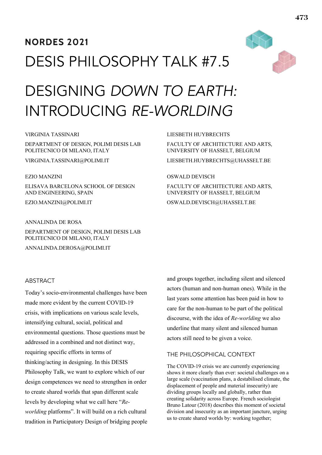# **NORDES 2021** DESIS PHILOSOPHY TALK #7.5



# DESIGNING *DOWN TO EARTH:* INTRODUCING *RE-WORLDING*

#### VIRGINIA TASSINARI

DEPARTMENT OF DESIGN, POLIMI DESIS LAB POLITECNICO DI MILANO, ITALY

VIRGINIA.TASSINARI@POLIMI.IT

#### EZIO MANZINI

ELISAVA BARCELONA SCHOOL OF DESIGN AND ENGINEERING, SPAIN

EZIO.MANZINI@POLIMI.IT

#### ANNALINDA DE ROSA

DEPARTMENT OF DESIGN, POLIMI DESIS LAB POLITECNICO DI MILANO, ITALY

ANNALINDA.DEROSA@POLIMI.IT

#### ABSTRACT

Today's socio-environmental challenges have been made more evident by the current COVID-19 crisis, with implications on various scale levels, intensifying cultural, social, political and environmental questions. Those questions must be addressed in a combined and not distinct way, requiring specific efforts in terms of thinking/acting in designing. In this DESIS Philosophy Talk, we want to explore which of our design competences we need to strengthen in order to create shared worlds that span different scale levels by developing what we call here "*Reworlding* platforms". It will build on a rich cultural tradition in Participatory Design of bridging people and groups together, including silent and silenced actors (human and non-human ones). While in the last years some attention has been paid in how to care for the non-human to be part of the political discourse, with the idea of *Re-worlding* we also underline that many silent and silenced human actors still need to be given a voice.

#### THE PHILOSOPHICAL CONTEXT

LIESBETH HUYBRECHTS

OSWALD DEVISCH

FACULTY OF ARCHITECTURE AND ARTS, UNIVERSITY OF HASSELT, BELGIUM

LIESBETH.HUYBRECHTS@UHASSELT.BE

FACULTY OF ARCHITECTURE AND ARTS, UNIVERSITY OF HASSELT, BELGIUM OSWALD.DEVISCH@UHASSELT.BE

The COVID-19 crisis we are currently experiencing shows it more clearly than ever: societal challenges on a large scale (vaccination plans, a destabilised climate, the displacement of people and material insecurity) are dividing groups locally and globally, rather than creating solidarity across Europe. French sociologist Bruno Latour (2018) describes this moment of societal division and insecurity as an important juncture, urging us to create shared worlds by: working together;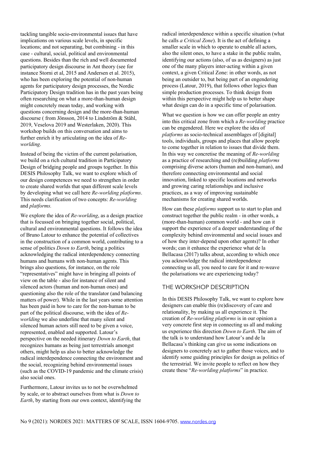tackling tangible socio-environmental issues that have implications on various scale levels, in specific locations; and not separating, but combining - in this case - cultural, social, political and environmental questions. Besides than the rich and well documented participatory design discourse in Ant theory (see for instance Storni et al, 2015 and Andersen et al. 2015). who has been exploring the potential of non-human agents for participatory design processes, the Nordic Participatory Design tradition has in the past years being often researching on what a more-than-human design might concretely mean today, and working with questions concerning design and the more-than-human discourse (from Jönsson, 2014 to Lindström  $&$  Ståhl, 2019, Veselova 2019 and Westerlaken, 2020). This workshop builds on this conversation and aims to further enrich it by articulating on the idea of *Reworlding*.

Instead of being the victim of the current polarisation, we build on a rich cultural tradition in Participatory Design of bridging people and groups together. In this DESIS Philosophy Talk, we want to explore which of our design competences we need to strengthen in order to create shared worlds that span different scale levels by developing what we call here *Re-worlding platforms*. This needs clarification of two concepts: *Re-worlding* and *platforms.*

We explore the idea of *Re-worlding*, as a design practice that is focussed on bringing together social, political, cultural and environmental questions. It follows the idea of Bruno Latour to enhance the potential of collectives in the construction of a common world, contributing to a sense of politics *Down to Earth*, being a politics acknowledging the radical interdependency connecting humans and humans with non-human agents. This brings also questions, for instance, on the role "representatives" might have in bringing all points of view on the table - also for instance of silent and silenced actors (human and non-human ones) and questioning also the role of the translator (and balancing matters of power). While in the last years some attention has been paid in how to care for the non-human to be part of the political discourse, with the idea of *Reworlding* we also underline that many silent and silenced human actors still need to be given a voice, represented, enabled and supported. Latour's perspective on the needed itinerary *Down to Earth*, that recognizes humans as being just terrestrials amongst others, might help us also to better acknowledge the radical interdependence connecting the environment and the social, recognizing behind environmental issues (such as the COVID-19 pandemic and the climate crisis) also social ones.

Furthermore, Latour invites us to not be overwhelmed by scale, or to abstract ourselves from what is *Down to Earth*, by starting from our own context, identifying the radical interdependence within a specific situation (what he calls *a Critical Zone*). It is the act of defining a smaller scale in which to operate to enable all actors, also the silent ones, to have a stake in the public realm, identifying our actions (also, of us as designers) as just one of the many players inter-acting within a given context, a given Critical Zone: in other words, as not being an outsider to, but being part of an engendering process (Latour, 2019), that follows other logics than simple production processes. To think design from within this perspective might help us to better shape what design can do in a specific time of polarisation.

What we question is how we can offer people an entry into this critical zone from which a *Re-worlding* practice can be engendered. Here we explore the idea of *platforms* as socio-technical assemblages of [digital] tools, individuals, groups and places that allow people to come together in relation to issues that divide them. In this way we concretise the meaning of *Re-worlding*  as a practice of researching and (re)building *platforms*  comprising diverse actors (human and non-human), and therefore connecting environmental and social innovation, linked to specific locations and networks and growing caring relationships and inclusive practices, as a way of improving sustainable mechanisms for creating shared worlds.

How can these *platforms* support us to start to plan and construct together the public realm - in other words, a (more-than-human) common world - and how can it support the experience of a deeper understanding of the complexity behind environmental and social issues and of how they inter-depend upon other agents)? In other words; can it enhance the experience what de la Bellacasa (2017) talks about, according to which once you acknowledge the radical interdependence connecting us all, you need to care for it and re-weave the polarisations we are experiencing today

#### THE WORKSHOP DESCRIPTION

In this DESIS Philosophy Talk, we want to explore how designers can enable this (re)discovery of care and relationality, by making us all experience it. The creation of *Re-worlding platforms* is in our opinion a very concrete first step in connecting us all and making us experience this direction *Down to Earth*. The aim of the talk is to understand how Latour's and de la Bellacasa's thinking can give us some indications on designers to concretely act to gather those voices, and to identify some guiding principles for design as politics of the terrestrial. We invite people to reflect on how they create these "*Re-worlding platforms*" in practice.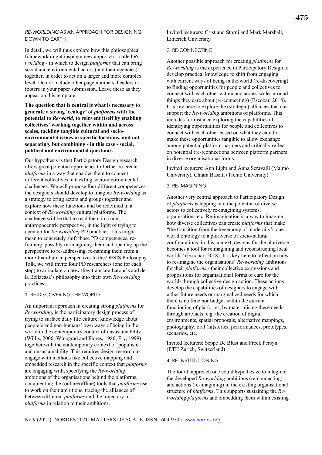#### *RE-WORLDING* AS AN APPROACH FOR DESIGNING DOWN TO EARTH

In detail, we will thus explore how this philosophical framework might inspire a new approach – called *Reworlding* - in which to design *platforms* that can bring social and environmental actors (and their agencies) together, in order to act on a larger and more complex level. Do not include other page numbers, headers or footers in your paper submission. Leave these as they appear on this template.

**The question that is central is what is necessary to generate a strong 'ecology' of** *platforms* **with the potential to** *Re-world***, to reinvent itself by enabling collectives' working together within and across scales, tackling tangible cultural and socioenvironmental issues in specific locations, and not separating, but combining - in this case - social, political and environmental questions.**

Our hypothesis is that Participatory Design research offers great potential approaches to further re-create *platforms* in a way that enables them to connect different collectives in tackling socio-environmental challenges. We will propose four different competences the designers should develop to imagine *Re-worlding* as a strategy to bring actors and groups together and explore how these functions and be redefined in a context of *Re-worlding* cultural platforms. The challenge will be that to read them in a nonanthropocentric perspective, in the light of trying to open up for *Re-worldling* PD practices. This might mean to concretely shift those PD competences, reframing, possibly re-imagining them and opening up the perspective to re-addressing, re-naming them from a more-than-human perspective. In the DESIS Philosophy Talk, we will invite four PD researchers (one for each step) to articulate on how they translate Latour's and de la Bellacasa's philosophy into their own *Re-worlding* practices:

#### 1. RE-DISCOVERING THE WORLD

An important approach in creating strong *platforms* for *Re-worlding*, is the participatory design process of trying to surface daily life culture: knowledge about people's and non-humans' own ways of being in the world in the contemporary context of unsustainability (Willis, 2006; Winograd and Flores, 1986; Fry, 1999) together with the contemporary context of 'populism' and unsustainability. This requires design research to engage with methods like collective mapping and embedded research in the specific context that *platforms*  are engaging with, specifying the *Re-worlding* ambitions of the organisations behind the platforms, documenting the (online/offline) tools that *platforms* use to work on their ambitions, tracing the alliances of between different *platforms* and the trajectory of *platforms* in relation to their ambitions.

Invited lecturers: Cristiano Storni and Mark Marshall, Limerick University

#### 2. RE-CONNECTING

Another possible approach for creating *platforms* for *Re-worlding* is the experience in Participatory Design to develop practical knowledge to shift from engaging with current ways of being in the world (re-discovering) to finding opportunities for people and collectives to connect with each other within and across scales around things they care about (re-connecting) (Escobar, 2018). It is key here to explore the (strategic) alliances that can support the *Re-worlding* ambitions of platforms. This includes for instance exploring the capabilities of identifying opportunities for people and collectives to connect with each other based on what they care for, make these opportunities tangible to allow exchange among potential platform-partners and critically reflect on potential (re-)connections between platform partners in diverse organisational forms.

Invited lecturers: Ann Light and Anna Seravalli (Malmö University), Chiara Basetti (Trento University)

#### 3. RE-IMAGINING

Another very central approach to Participatory Design of *platforms* is tapping into the potential of diverse actors to collectively re-imagining systems, organisations etc. Re-imagination is a way to imagine how diverse collectives can create *platforms* that make "the transition from the hegemony of modernity's oneworld ontology to a pluriverse of socio-natural configurations; in this context, designs for the pluriverse becomes a tool for reimagining and reconstructing local worlds" (Escobar, 2018). It is key here to reflect on how to re-imagine the organisations' *Re-worlding* ambitions for their *platforms* - their collective expressions and propositions for organisational forms of care for the world- through collective design action. These actions develop the capabilities of designers to engage with either future needs or marginalized needs for which there is no time nor budget within the current functioning of platforms, by materialising these needs through artefacts: e.g. the creation of digital environments, spatial proposals, alternative mappings, photography, oral (hi)stories, performances, prototypes, scenarios, etc.

Invited lecturers: Seppe De Blust and Freek Persyn (ETH Zurich, Switzerland)

#### 4. RE-INSTITUTIONING

The fourth approach one could hypothesize to integrate the developed *Re-worlding* ambitions (re-connecting) and actions (re-imagining) in the existing organisational structure of *platforms*. This supports sustaining the *Reworlding platforms* and embedding them within existing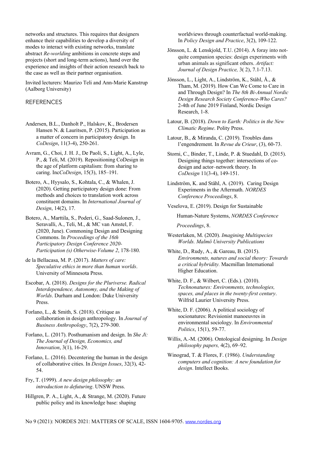networks and structures. This requires that designers enhance their capabilities to develop a diversity of modes to interact with existing networks, translate abstract *Re-worlding* ambitions in concrete steps and projects (short and long-term actions), hand over the experience and insights of their action research back to the case as well as their partner organisation.

Invited lecturers: Maurizo Teli and Ann-Marie Kanstrup (Aalborg University)

#### **REFERENCES**

- Andersen, B.L., Danholt P., Halskov, K., Brodersen Hansen N. & Lauritsen, P. (2015). Participation as a matter of concern in participatory design. In *CoDesign*, 11(3-4), 250-261.
- Avram, G., Choi, J. H. J., De Paoli, S., Light, A., Lyle, P., & Teli, M. (2019). Repositioning CoDesign in the age of platform capitalism: from sharing to caring. Inc*CoDesign*, 15(3), 185-191.
- Botero, A., Hyysalo, S., Kohtala, C., & Whalen, J. (2020). Getting participatory design done: From methods and choices to translation work across constituent domains. In *International Journal of Design*, 14(2), 17.
- Botero, A., Marttila, S., Poderi, G., Saad-Sulonen, J., Seravalli, A., Teli, M., & MC van Amstel, F.  $(2020, June)$ . Commoning Design and Designing Commons. In *roceedings of the th*  **Participatory Design Conference 2020-**Participation (s) Otherwise-Volume 2, 178-180.
- de la Bellacasa, M. P. (2017). Matters of care: *Speculative ethics in more than human worlds.* University of Minnesota Press.
- Escobar, A. (2018). *Designs for the Pluriverse. Radical Interdependence, Autonomy, and the Making of Worlds*. Durham and London: Duke University Press.
- Forlano, L., & Smith, S. (2018). Critique as collaboration in design anthropology. In *Journal of Business Anthropology*, 7(2), 279-300.
- Forlano, L. (2017). Posthumanism and design. In *She Ji*: *The Journal of Design, Economics, and Innovation*, 3(1), 16-29.
- Forlano, L. (2016). Decentering the human in the design of collaborative cities. In *Design Issues*, 32(3), 42-54.

Fry, T. (1999). A new design philosophy: an *introduction to defuturing*. UNSW Press.

Hillgren, P. A., Light, A., & Strange, M. (2020). Future public policy and its knowledge base: shaping

worldviews through counterfactual world-making. In *Policy Design and Practice*, 3(2), 109-122.

- Jönsson, L. & Lenskjold, T.U. (2014). A foray into notquite companion species: design experiments with urban animals as significant others. Artifact: *Journal of Design Practice*, 3(2), 7.1-7.13.
- Jönsson, L., Light, A., Lindström, K., Ståhl, Å., & Tham, M. (2019). How Can We Come to Care in and Through Design? In *The 8th Bi-Annual Nordic* **Design Research Society Conference-Who Cares?** 2-4th of June 2019 Finland, Nordic Design Research, 1-8.
- Latour, B. (2018). *Down to Earth: Politics in the New Climatic Regime*. Polity Press.
- Latour, B., & Miranda, C. (2019). Troubles dans l'engendrement. In *Revue du Crieur*, (3), 60-73.
- Storni, C., Binder, T., Linde, P. & Stuedahl, D. (2015). Designing things together: intersections of codesign and actor-network theory. In *CoDesign* 11(3-4), 149-151.
- Lindström, K. and Ståhl, A. (2019). Caring Design Experiments in the Aftermath. *NORDES Conference Proceedings*, 8.
- Veselova, E. (2019). Design for Sustainable

Human-Nature Systems, *NORDES Conference* 

 *roceedings*, 8.

- Westerlaken, M. (2020). *Imagining Multispecies Worlds. Malmö University Publications*
- White, D., Rudy, A., & Gareau, B. (2015). *Environments, natures and social theory: Towards*  $a$  critical hybridity. Macmillan International Higher Education.
- White, D. F., & Wilbert, C. (Eds.). (2010).  $Technonatures: Environments, technologies,$ *spaces, and places in the twenty-first century.* Wilfrid Laurier University Press.
- White, D. F. (2006). A political sociology of socionatures: Revisionist manoeuvres in environmental sociology. In *Environmental Politics*, 15(1), 59-77.
- Willis, A.-M. (2006). Ontological designing. In *Design philosophy papers*, 4(2), 69-92.
- Winograd, T. & Flores, F. (1986). *Understanding computers and cognition: A new foundation for design*. Intellect Books.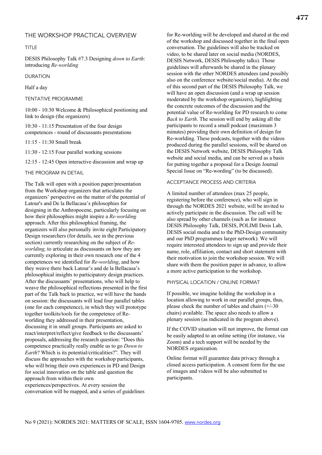TITLE

DESIS Philosophy Talk #7.3 Designing down to Earth: introducing *Re-worlding*

DURATION

Half a day

TENTATIVE PROGRAMME

10:00 - 10:30 Welcome & Philosophical positioning and link to design (the organizers)

 $10:30 - 11:15$  Presentation of the four design competences - round of discussants presentations

11:15 - 11:30 Small break

11:30 - 12:15 Four parallel working sessions

12:15 - 12:45 Open interactive discussion and wrap up

THE PROGRAM IN DETAIL

The Talk will open with a position paper/presentation from the Workshop organizers that articulates the organizers' perspective on the matter of the potential of Latour's and De la Bellacasa's philosophies for designing in the Anthropocene, particularly focusing on how their philosophies might inspire a *Re-worlding*  approach. After this philosophical framing, the organizers will also personally invite eight Participatory Design researchers (for details, see in the previous section) currently researching on the subject of *Reworlding*, to articulate as discussants on how they are currently exploring in their own research one of the competences we identified for *Re-worlding*, and how they weave there back Latour's and de la Bellacasa's philosophical insights to participatory design practices. After the discussants' presentations, who will help to weave the philosophical reflections presented in the first part of the Talk back to practice, we will have the hands on session: the discussants will lead four parallel tables (one for each competence), in which they will prototype together toolkits/tools for the competence of Reworlding they addressed in their presentation, discussing it in small groups. Participants are asked to react/interpret/reflect/give feedback to the discussants' proposals, addressing the research question: "Does this competence practically really enable us to go *Down to Earth*? Which is its potential/criticalities?". They will discuss the approaches with the workshop participants, who will bring their own experiences in PD and Design for social innovation on the table and question the approach from within their own

experiences/perspectives. At every session the conversation will be mapped, and a series of guidelines for Re-worlding will be developed and shared at the end of the workshop and discussed together in the final open conversation. The guidelines will also be tracked on video, to be shared later on social media (NORDES, DESIS Network, DESIS Philosophy talks). Those guidelines will afterwards be shared in the plenary session with the other NORDES attendees (and possibly also on the conference website/social media). At the end of this second part of the DESIS Philosophy Talk, we will have an open discussion (and a wrap up session moderated by the workshop organizers), highlighting the concrete outcomes of the discussion and the potential value of Re-worlding for PD research to come *Back to Earth*. The session will end by asking all the participants to record a small podcast (maximum minutes) providing their own definition of design for Re-worlding. These podcasts, together with the videos produced during the parallel sessions, will be shared on the DESIS Network website, DESIS Philosophy Talk website and social media, and can be served as a basis for putting together a proposal for a Design Journal Special Issue on "Re-wording" (to be discussed).

#### ACCEPTANCE PROCESS AND CRITERIA

A limited number of attendees (max 25 people, registering before the conference), who will sign in through the NORDES 2021 website, will be invited to actively participate in the discussion. The call will be also spread by other channels (such as for instance DESIS Philosophy Talk, DESIS, POLIMI Desis Lab, DESIS social media and to the PhD-Design community and our PhD programmes larger network). We will require interested attendees to sign up and provide their name, role, affiliation, contact and short statement with their motivation to join the workshop session. We will share with them the position paper in advance, to allow a more active participation to the workshop.

#### PHYSICAL LOCATION / ONLINE FORMAT

If possible, we imagine holding the workshop in a location allowing to work in our parallel groups, thus, please check the number of tables and chairs  $(+/-30)$ chairs) available. The space also needs to allow a plenary session (as indicated in the program above).

If the COVID situation will not improve, the format can be easily adapted to an online setting (for instance, via Zoom) and a tech support will be needed by the NORDES organization.

Online format will guarantee data privacy through a closed access participation. A consent form for the use of images and videos will be also submitted to participants.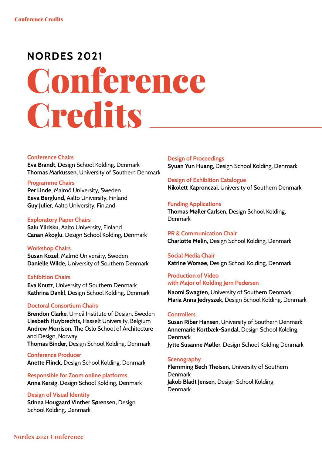# **NORDES 2021**

# Conference Credits

#### Conference Chairs

Eva Brandt, Design School Kolding, Denmark Thomas Markussen, University of Southern Denmark

#### Programme Chairs

Per Linde, Malmö University, Sweden Eeva Berglund, Aalto University, Finland Guy Julier, Aalto University, Finland

#### Exploratory Paper Chairs

Salu Ylirisku, Aalto University, Finland Canan Akoglu, Design School Kolding, Denmark

#### Workshop Chairs

Susan Kozel, Malmö University, Sweden Danielle Wilde, University of Southern Denmark

#### Exhibition Chairs

Eva Knutz, University of Southern Denmark Kathrina Dankl, Design School Kolding, Denmark

#### Doctoral Consortium Chairs

Brendon Clarke, Umeå Institute of Design, Sweden Liesbeth Huybrechts, Hasselt University, Belgium Andrew Morrison, The Oslo School of Architecture and Design, Norway Thomas Binder, Design School Kolding, Denmark

Conference Producer Anette Flinck, Design School Kolding, Denmark

Responsible for Zoom online platforms Anna Kersig, Design School Kolding, Denmark

#### Design of Visual Identity

Stinna Hougaard Vinther Sørensen, Design School Kolding, Denmark

Design of Proceedings Syuan Yun Huang, Design School Kolding, Denmark

#### Design of Exhibition Catalogue

Nikolett Kapronczai, University of Southern Denmark

#### Funding Applications

Thomas Møller Carlsen, Design School Kolding, Denmark

PR & Communication Chair Charlotte Melin, Design School Kolding, Denmark

#### Social Media Chair Katrine Worsøe, Design School Kolding, Denmark

#### Production of Video with Major of Kolding Jørn Pedersen

Naomi Swagten, University of Southern Denmark Maria Anna Jedryszek, Design School Kolding, Denmark

#### **Controllers**

Susan Riber Hansen, University of Southern Denmark Annemarie Kortbæk-Sandal, Design School Kolding, Denmark Jytte Susanne Møller, Design School Kolding Denmark

#### **Scenography**

Flemming Bech Thøisen, University of Southern Denmark Jakob Bladt Jensen, Design School Kolding, Denmark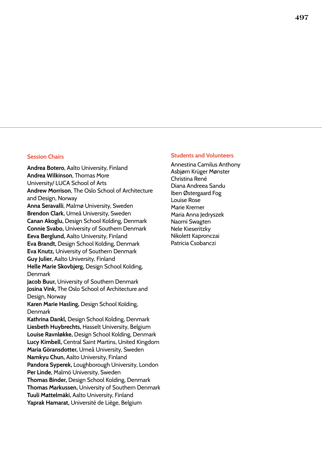Andrea Botero, Aalto University, Finland Andrea Wilkinson, Thomas More University/ LUCA School of Arts Andrew Morrison, The Oslo School of Architecture and Design, Norway Anna Seravalli, Malmø University, Sweden Brendon Clark, Umeå University, Sweden Canan Akoglu, Design School Kolding, Denmark Connie Svabo, University of Southern Denmark Eeva Berglund, Aalto University, Finland Eva Brandt, Design School Kolding, Denmark Eva Knutz, University of Southern Denmark Guy Julier, Aalto University, Finland Helle Marie Skovbjerg, Design School Kolding, Denmark Jacob Buur, University of Southern Denmark Josina Vink, The Oslo School of Architecture and Design, Norway Karen Marie Hasling, Design School Kolding, Denmark Kathrina Dankl, Design School Kolding, Denmark Liesbeth Huybrechts, Hasselt University, Belgium Louise Ravnløkke, Design School Kolding, Denmark Lucy Kimbell, Central Saint Martins, United Kingdom Maria Göransdotter, Umeå University, Sweden Namkyu Chun, Aalto University, Finland Pandora Syperek, Loughborough University, London Per Linde, Malmö University, Sweden Thomas Binder, Design School Kolding, Denmark Thomas Markussen, University of Southern Denmark Tuuli Mattelmäki, Aalto University, Finland Yaprak Hamarat, Université de Liège, Belgium

#### **Session Chairs Students and Volunteers** Session Chairs And Volunteers

Annestina Camilus Anthony Asbjørn Krüger Mønster Christina René Diana Andreea Sandu Iben Østergaard Fog Louise Rose Marie Kremer Maria Anna Jedryszek Naomi Swagten Nele Kieseritzky Nikolett Kapronczai Patricia Csobanczi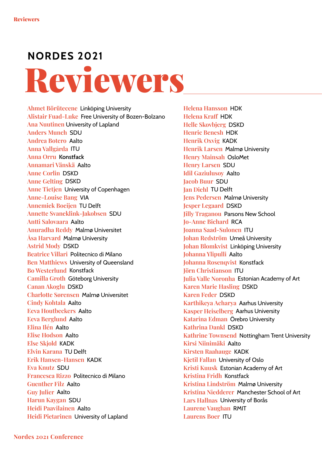# **NORDES 2021** Reviewers

**Ahmet Börütecene** Linköping University **Alistair Fuad-Luke** Free University of Bozen-Bolzano **Ana Nuutinen** University of Lapland **Anders Munch** SDU **Andrea Botero** Aalto **Anna Vallgårda** ITU **Anna Orru** Konstfack **Annamari Vänskä** Aalto **Anne Corlin** DSKD **Anne Gelting** DSKD **Anne Tietjen** University of Copenhagen **Anne-Louise Bang** VIA **Annemiek Boeijen** TU Delft **Annette Svaneklink-Jakobsen** SDU **Antti Salovaara** Aalto **Anuradha Reddy** Malmø Universitet **Åsa Harvard** Malmø University **Astrid Mody** DSKD **Beatrice Villari** Politecnico di Milano **Ben Matthiews** University of Queensland **Bo Westerlund** Konstfack **Camilla Groth** Göteborg University **Canan Akoglu** DSKD **Charlotte Sørensen** Malmø Universitet **Cindy Kohtala** Aalto **Eeva Houtbeckers** Aalto **Eeva Berglund** Aalto **Elina Ilén** Aalto **Elise Hodson** Aalto **Else Skjold** KADK **Elvin Karana** TU Delft **Erik Hansen-Hansen** KADK **Eva Knutz** SDU **Francesca Rizzo** Politecnico di Milano **Guenther Filz** Aalto **Guy Julier** Aalto **Harun Kaygan** SDU **Heidi Paavilainen** Aalto **Heidi Pietarinen** University of Lapland

**Helena Hansson** HDK **Helena Kraf** HDK **Helle Skovbjerg** DSKD **Henric Benesh** HDK **Henrik Oxvig** KADK **Henrik Larsen** Malmø University **Henry Mainsah** OsloMet **Henry Larsen** SDU **Idil Gaziulusoy** Aalto **Jacob Buur** SDU **Jan Diehl** TU Delft **Jens Pedersen** Malmø University **Jesper Legaard** DSKD **Jilly Traganou** Parsons New School **Jo-Anne Bichard** RCA **Joanna Saad-Sulonen** ITU **Johan Redström** Umeå University **Johan Blomkvist** Linköping University **Johanna Ylipulli** Aalto **Johanna Rosenqvist** Konstfack **Jörn Christianson** ITU **Julia Valle Noronha** Estonian Academy of Art **Karen Marie Hasling** DSKD **Karen Feder** DSKD **Karthikeya Acharya** Aarhus University **Kasper Heiselberg** Aarhus University **Katarina Edman** Örebro University **Kathrina Dankl** DSKD **Kathrine Townsend** Nottingham Trent University **Kirsi Niinimäki** Aalto **Kirsten Raahauge** KADK **Kjetil Fallan** University of Oslo **Kristi Kuusk** Estonian Academy of Art **Kristina Fridh** Konstfack **Kristina Lindström** Malmø University **Kristina Niedderer** Manchester School of Art **Lars Hallnas** University of Borås **Laurene Vaughan** RMIT **Laurens Boer** ITU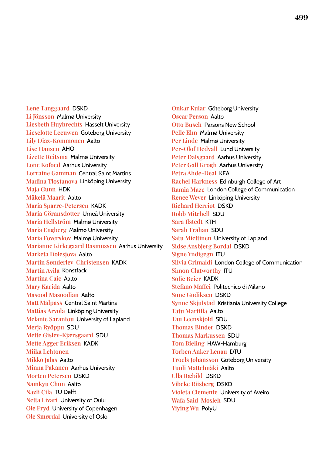**Lene Tanggaard** DSKD **Li Jönsson** Malmø University **Liesbeth Huybrechts** Hasselt University **Lieselotte Leeuwen** Göteborg University **Lily Diaz-Kommonen** Aalto **Lise Hansen** AHO **Lizette Reitsma** Malmø University **Lone Kofoed** Aarhus University **Lorraine Gamman** Central Saint Martins **Madina Tlostanova** Linköping University **Maja Gunn** HDK **Mäkelä Maarit** Aalto **Maria Sparre-Petersen** KADK **Maria Göransdotter** Umeå University **Maria Hellström** Malmø University **Maria Engberg** Malmø University **Maria Foverskov** Malmø University **Marianne Kirkegaard Rasmussen** Aarhus University **Marketa Dolesjova** Aalto **Martin Sønderlev-Christensen** KADK **Martin Avila** Konstfack **Martina Caic** Aalto **Mary Karida** Aalto **Masood Masoodian** Aalto **Matt Malpass** Central Saint Martins **Mattias Arvola** Linköping University **Melanie Sarantou** University of Lapland **Merja Ryöppu** SDU **Mette Gislev-Kjærsgaard** SDU **Mette Agger Eriksen** KADK **Miika Lehtonen Mikko Jalas** Aalto **Minna Pakanen** Aarhus University **Morten Petersen** DSKD **Namkyu Chun** Aalto **Nazli Cila** TU Delft **Netta Livari** University of Oulu **Ole Fryd** University of Copenhagen **Ole Smørdal** University of Oslo

**Onkar Kular** Göteborg University **Oscar Person** Aalto **Otto Busch** Parsons New School **Pelle Ehn** Malmø University **Per Linde** Malmø University **Per-Olof Hedvall** Lund University **Peter Dalsgaard** Aarhus University **Peter Gall Krogh** Aarhus University **Petra Ahde-Deal** KEA **Rachel Harkness** Edinburgh College of Art **Ramia Maze** London College of Communication **Renee Wever** Linköping University **Richard Herriot** DSKD **Robb Mitchell** SDU **Sara Ilstedt** KTH **Sarah Trahan** SDU **Satu Miettinen** University of Lapland **Sidse Ansbjerg Bordal** DSKD **Signe Yndigegn** ITU **Silvia Grimaldi** London College of Communication **Simon Clatworthy** ITU **Sofe Beier** KADK **Stefano Mafei** Politecnico di Milano **Sune Gudiksen** DSKD **Synne Skjulstad** Kristiania University College **Tatu Martilla** Aalto **Tau Leenskjold** SDU **Thomas Binder** DSKD **Thomas Markussen** SDU **Tom Bieling** HAW-Hamburg **Torben Anker Lenau** DTU **Troels Johansson** Göteborg University **Tuuli Mattelmäki** Aalto **Ulla Ræbild** DSKD **Vibeke Riisberg** DSKD **Violeta Clemente** University of Aveiro **Wafa Said-Mosleh** SDU **Yiying Wu** PolyU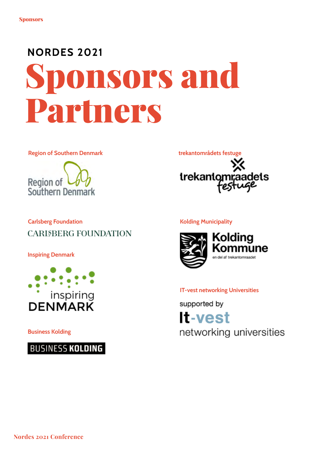# **NORDES 2021** Sponsors and Partners

Region of Southern Denmark





## Carlsberg Foundation **CARISBERG FOUNDATION**

Inspiring Denmark



Business Kolding



#### Kolding Municipality



#### IT-vest networking Universities

supported by **It-vest** networking universities